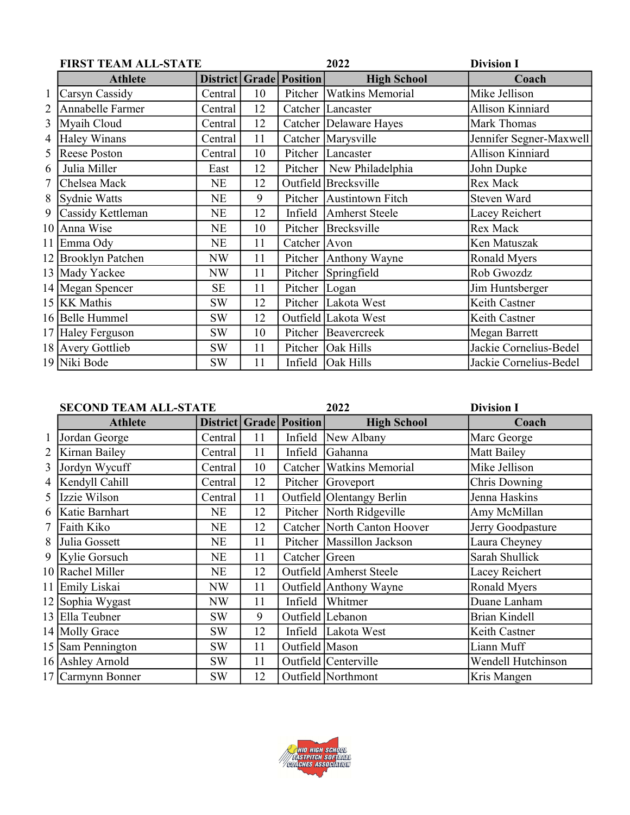|   | <b>FIRST TEAM ALL-STATE</b> |           |    | 2022                           |                            | <b>Division I</b>       |
|---|-----------------------------|-----------|----|--------------------------------|----------------------------|-------------------------|
|   | <b>Athlete</b>              |           |    | <b>District Grade Position</b> | <b>High School</b>         | Coach                   |
|   | Carsyn Cassidy              | Central   | 10 |                                | Pitcher   Watkins Memorial | Mike Jellison           |
| 2 | Annabelle Farmer            | Central   | 12 |                                | Catcher Lancaster          | <b>Allison Kinniard</b> |
| 3 | Myaih Cloud                 | Central   | 12 |                                | Catcher Delaware Hayes     | Mark Thomas             |
| 4 | Haley Winans                | Central   | 11 |                                | Catcher Marysville         | Jennifer Segner-Maxwell |
| 5 | Reese Poston                | Central   | 10 |                                | Pitcher Lancaster          | <b>Allison Kinniard</b> |
| 6 | Julia Miller                | East      | 12 |                                | Pitcher   New Philadelphia | John Dupke              |
| 7 | Chelsea Mack                | NE        | 12 |                                | Outfield Brecksville       | Rex Mack                |
| 8 | Sydnie Watts                | <b>NE</b> | 9  |                                | Pitcher Austintown Fitch   | Steven Ward             |
| 9 | Cassidy Kettleman           | NE        | 12 |                                | Infield Amherst Steele     | Lacey Reichert          |
|   | 10 Anna Wise                | NE        | 10 |                                | Pitcher Brecksville        | Rex Mack                |
|   | 11 Emma Ody                 | NE        | 11 | Catcher Avon                   |                            | Ken Matuszak            |
|   | 12 Brooklyn Patchen         | NW        | 11 |                                | Pitcher Anthony Wayne      | Ronald Myers            |
|   | 13 Mady Yackee              | NW        | 11 |                                | Pitcher Springfield        | Rob Gwozdz              |
|   | 14 Megan Spencer            | <b>SE</b> | 11 | Pitcher Logan                  |                            | Jim Huntsberger         |
|   | 15 KK Mathis                | SW        | 12 |                                | Pitcher Lakota West        | Keith Castner           |
|   | 16 Belle Hummel             | <b>SW</b> | 12 |                                | Outfield Lakota West       | Keith Castner           |
|   | 17 Haley Ferguson           | <b>SW</b> | 10 |                                | Pitcher Beavercreek        | Megan Barrett           |
|   | 18 Avery Gottlieb           | <b>SW</b> | 11 |                                | Pitcher   Oak Hills        | Jackie Cornelius-Bedel  |
|   | 19 Niki Bode                | <b>SW</b> | 11 |                                | Infield   Oak Hills        | Jackie Cornelius-Bedel  |

|   | <b>SECOND TEAM ALL-STATE</b> |           |    |                                | 2022                        | <b>Division I</b>    |
|---|------------------------------|-----------|----|--------------------------------|-----------------------------|----------------------|
|   | <b>Athlete</b>               |           |    | <b>District Grade Position</b> | <b>High School</b>          | Coach                |
|   | Jordan George                | Central   | 11 | Infield                        | New Albany                  | Marc George          |
| 2 | Kirnan Bailey                | Central   | 11 | Infield                        | Gahanna                     | Matt Bailey          |
| 3 | Jordyn Wycuff                | Central   | 10 |                                | Catcher Watkins Memorial    | Mike Jellison        |
|   | 4   Kendyll Cahill           | Central   | 12 |                                | Pitcher Groveport           | Chris Downing        |
| 5 | Izzie Wilson                 | Central   | 11 |                                | Outfield Olentangy Berlin   | Jenna Haskins        |
| 6 | Katie Barnhart               | NE        | 12 |                                | Pitcher North Ridgeville    | Amy McMillan         |
| 7 | Faith Kiko                   | NE        | 12 |                                | Catcher North Canton Hoover | Jerry Goodpasture    |
| 8 | Julia Gossett                | NE        | 11 |                                | Pitcher   Massillon Jackson | Laura Cheyney        |
|   | 9 Kylie Gorsuch              | NE        | 11 | Catcher Green                  |                             | Sarah Shullick       |
|   | 10 Rachel Miller             | <b>NE</b> | 12 |                                | Outfield Amherst Steele     | Lacey Reichert       |
|   | 11 Emily Liskai              | NW        | 11 |                                | Outfield Anthony Wayne      | Ronald Myers         |
|   | 12 Sophia Wygast             | NW        | 11 | Infield                        | Whitmer                     | Duane Lanham         |
|   | 13 Ella Teubner              | <b>SW</b> | 9  |                                | Outfield Lebanon            | <b>Brian Kindell</b> |
|   | 14 Molly Grace               | <b>SW</b> | 12 |                                | Infield Lakota West         | Keith Castner        |
|   | 15 Sam Pennington            | SW        | 11 | Outfield Mason                 |                             | Liann Muff           |
|   | 16 Ashley Arnold             | SW        | 11 |                                | Outfield Centerville        | Wendell Hutchinson   |
|   | 17 Carmynn Bonner            | <b>SW</b> | 12 |                                | Outfield Northmont          | Kris Mangen          |

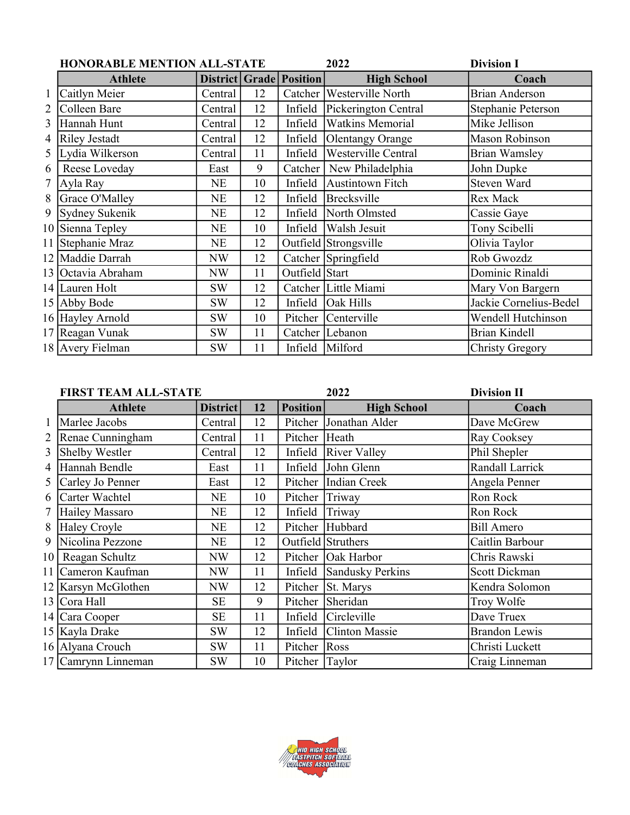|                | <b>HONORABLE MENTION ALL-STATE</b> |           |    |                                      | 2022                      | <b>Division I</b>         |
|----------------|------------------------------------|-----------|----|--------------------------------------|---------------------------|---------------------------|
|                | <b>Athlete</b>                     |           |    | <b>District   Grade   Position  </b> | <b>High School</b>        | Coach                     |
|                | Caitlyn Meier                      | Central   | 12 |                                      | Catcher Westerville North | <b>Brian Anderson</b>     |
| $\overline{2}$ | Colleen Bare                       | Central   | 12 | Infield                              | Pickerington Central      | <b>Stephanie Peterson</b> |
| 3              | Hannah Hunt                        | Central   | 12 | Infield                              | <b>Watkins Memorial</b>   | Mike Jellison             |
| 4              | Riley Jestadt                      | Central   | 12 | Infield                              | Olentangy Orange          | Mason Robinson            |
| 5              | Lydia Wilkerson                    | Central   | 11 | Infield                              | Westerville Central       | <b>Brian Wamsley</b>      |
| 6              | Reese Loveday                      | East      | 9  | Catcher                              | New Philadelphia          | John Dupke                |
| 7              | Ayla Ray                           | NE        | 10 |                                      | Infield Austintown Fitch  | Steven Ward               |
| 8              | Grace O'Malley                     | <b>NE</b> | 12 | Infield                              | Brecksville               | Rex Mack                  |
| 9              | Sydney Sukenik                     | NE        | 12 | Infield                              | North Olmsted             | Cassie Gaye               |
|                | 10 Sienna Tepley                   | NE        | 10 | Infield                              | Walsh Jesuit              | Tony Scibelli             |
|                | 11 Stephanie Mraz                  | NE        | 12 |                                      | Outfield Strongsville     | Olivia Taylor             |
|                | 12 Maddie Darrah                   | NW        | 12 |                                      | Catcher Springfield       | Rob Gwozdz                |
|                | 13 Octavia Abraham                 | <b>NW</b> | 11 | Outfield Start                       |                           | Dominic Rinaldi           |
|                | 14 Lauren Holt                     | <b>SW</b> | 12 |                                      | Catcher Little Miami      | Mary Von Bargern          |
|                | 15 Abby Bode                       | <b>SW</b> | 12 | Infield                              | <b>Oak Hills</b>          | Jackie Cornelius-Bedel    |
|                | 16 Hayley Arnold                   | <b>SW</b> | 10 |                                      | Pitcher Centerville       | Wendell Hutchinson        |
|                | 17 Reagan Vunak                    | <b>SW</b> | 11 |                                      | Catcher Lebanon           | <b>Brian Kindell</b>      |
|                | 18 Avery Fielman                   | SW        | 11 |                                      | Infield Milford           | <b>Christy Gregory</b>    |

|   | <b>FIRST TEAM ALL-STATE</b> |                 |    |                 | 2022                   | <b>Division II</b>   |
|---|-----------------------------|-----------------|----|-----------------|------------------------|----------------------|
|   | <b>Athlete</b>              | <b>District</b> | 12 | <b>Position</b> | <b>High School</b>     | Coach                |
|   | Marlee Jacobs               | Central         | 12 |                 | Pitcher Jonathan Alder | Dave McGrew          |
| 2 | Renae Cunningham            | Central         | 11 | Pitcher Heath   |                        | Ray Cooksey          |
| 3 | <b>Shelby Westler</b>       | Central         | 12 | Infield         | <b>River Valley</b>    | Phil Shepler         |
| 4 | Hannah Bendle               | East            | 11 | Infield         | John Glenn             | Randall Larrick      |
| 5 | Carley Jo Penner            | East            | 12 |                 | Pitcher Indian Creek   | Angela Penner        |
| 6 | Carter Wachtel              | NE              | 10 | Pitcher Triway  |                        | Ron Rock             |
| 7 | Hailey Massaro              | NE              | 12 | Infield         | Triway                 | Ron Rock             |
| 8 | Haley Croyle                | NE              | 12 |                 | Pitcher Hubbard        | <b>Bill Amero</b>    |
|   | 9 Nicolina Pezzone          | NE              | 12 |                 | Outfield Struthers     | Caitlin Barbour      |
|   | 10 Reagan Schultz           | NW              | 12 |                 | Pitcher   Oak Harbor   | Chris Rawski         |
|   | 11 Cameron Kaufman          | NW              | 11 | Infield         | Sandusky Perkins       | Scott Dickman        |
|   | 12 Karsyn McGlothen         | NW              | 12 | Pitcher         | St. Marys              | Kendra Solomon       |
|   | 13 Cora Hall                | <b>SE</b>       | 9  | Pitcher         | Sheridan               | Troy Wolfe           |
|   | 14 Cara Cooper              | <b>SE</b>       | 11 | Infield         | <i>Circleville</i>     | Dave Truex           |
|   | 15 Kayla Drake              | <b>SW</b>       | 12 | Infield         | <b>Clinton Massie</b>  | <b>Brandon Lewis</b> |
|   | 16 Alyana Crouch            | <b>SW</b>       | 11 | Pitcher Ross    |                        | Christi Luckett      |
|   | 17 Camrynn Linneman         | <b>SW</b>       | 10 | Pitcher Taylor  |                        | Craig Linneman       |

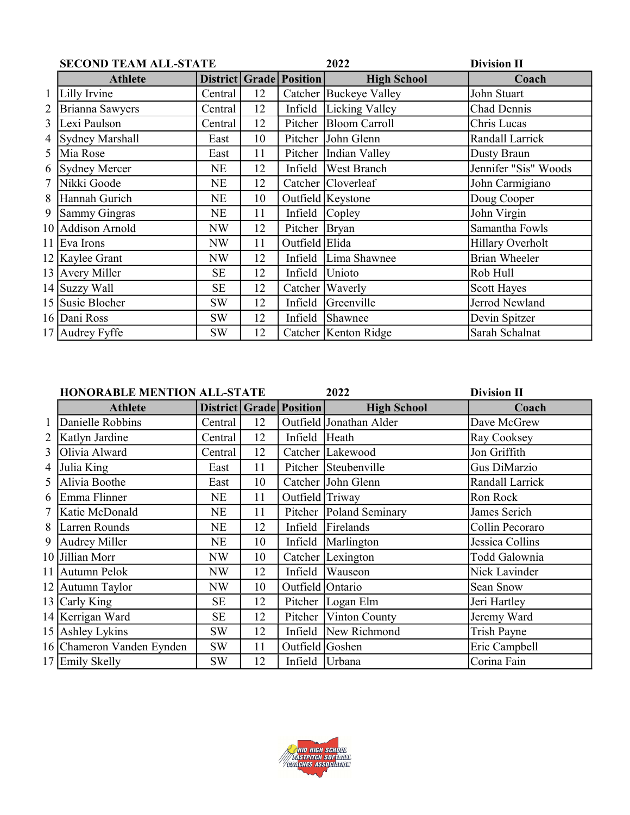|        | <b>SECOND TEAM ALL-STATE</b> |           |    | 2022                           | <b>Division II</b>      |                      |
|--------|------------------------------|-----------|----|--------------------------------|-------------------------|----------------------|
|        | <b>Athlete</b>               |           |    | <b>District Grade Position</b> | <b>High School</b>      | Coach                |
|        | Lilly Irvine                 | Central   | 12 |                                | Catcher Buckeye Valley  | John Stuart          |
| 2      | Brianna Sawyers              | Central   | 12 |                                | Infield Licking Valley  | Chad Dennis          |
| 3      | Lexi Paulson                 | Central   | 12 |                                | Pitcher Bloom Carroll   | Chris Lucas          |
| 4      | Sydney Marshall              | East      | 10 |                                | Pitcher John Glenn      | Randall Larrick      |
| 5      | Mia Rose                     | East      | 11 |                                | Pitcher   Indian Valley | <b>Dusty Braun</b>   |
| 6      | Sydney Mercer                | NE        | 12 |                                | Infield West Branch     | Jennifer "Sis" Woods |
| $\tau$ | Nikki Goode                  | NE        | 12 |                                | Catcher Cloverleaf      | John Carmigiano      |
| 8      | Hannah Gurich                | NE        | 10 |                                | Outfield Keystone       | Doug Cooper          |
| 9      | Sammy Gingras                | NE        | 11 | Infield Copley                 |                         | John Virgin          |
|        | 10 Addison Arnold            | NW        | 12 | Pitcher Bryan                  |                         | Samantha Fowls       |
|        | 11 Eva Irons                 | NW        | 11 | Outfield Elida                 |                         | Hillary Overholt     |
|        | 12 Kaylee Grant              | NW        | 12 |                                | Infield Lima Shawnee    | <b>Brian Wheeler</b> |
|        | 13 Avery Miller              | <b>SE</b> | 12 | Infield Unioto                 |                         | Rob Hull             |
|        | 14 Suzzy Wall                | <b>SE</b> | 12 |                                | Catcher Waverly         | <b>Scott Hayes</b>   |
|        | 15 Susie Blocher             | SW        | 12 |                                | Infield Greenville      | Jerrod Newland       |
|        | 16 Dani Ross                 | <b>SW</b> | 12 |                                | Infield Shawnee         | Devin Spitzer        |
|        | 17 Audrey Fyffe              | <b>SW</b> | 12 |                                | Catcher   Kenton Ridge  | Sarah Schalnat       |

|   | <b>HONORABLE MENTION ALL-STATE</b> |           |    |                                | 2022                      | <b>Division II</b> |
|---|------------------------------------|-----------|----|--------------------------------|---------------------------|--------------------|
|   | <b>Athlete</b>                     |           |    | <b>District Grade Position</b> | <b>High School</b>        | Coach              |
|   | Danielle Robbins                   | Central   | 12 |                                | Outfield Jonathan Alder   | Dave McGrew        |
| 2 | Katlyn Jardine                     | Central   | 12 | Infield Heath                  |                           | Ray Cooksey        |
| 3 | Olivia Alward                      | Central   | 12 |                                | Catcher Lakewood          | Jon Griffith       |
| 4 | Julia King                         | East      | 11 |                                | Pitcher Steubenville      | Gus DiMarzio       |
| 5 | Alivia Boothe                      | East      | 10 |                                | Catcher John Glenn        | Randall Larrick    |
| 6 | Emma Flinner                       | NE        | 11 | Outfield Triway                |                           | Ron Rock           |
|   | Katie McDonald                     | NE        | 11 |                                | Pitcher   Poland Seminary | James Serich       |
| 8 | Larren Rounds                      | NE        | 12 |                                | Infield Firelands         | Collin Pecoraro    |
| 9 | Audrey Miller                      | NE        | 10 |                                | Infield   Marlington      | Jessica Collins    |
|   | 10 Jillian Morr                    | NW        | 10 |                                | Catcher Lexington         | Todd Galownia      |
|   | 11 Autumn Pelok                    | NW        | 12 | Infield                        | <b>Wauseon</b>            | Nick Lavinder      |
|   | 12 Autumn Taylor                   | NW        | 10 | Outfield Ontario               |                           | Sean Snow          |
|   | 13 Carly King                      | <b>SE</b> | 12 |                                | Pitcher  Logan Elm        | Jeri Hartley       |
|   | 14 Kerrigan Ward                   | <b>SE</b> | 12 |                                | Pitcher   Vinton County   | Jeremy Ward        |
|   | 15 Ashley Lykins                   | SW        | 12 |                                | Infield New Richmond      | Trish Payne        |
|   | 16 Chameron Vanden Eynden          | <b>SW</b> | 11 | Outfield Goshen                |                           | Eric Campbell      |
|   | 17 Emily Skelly                    | <b>SW</b> | 12 | Infield Urbana                 |                           | Corina Fain        |

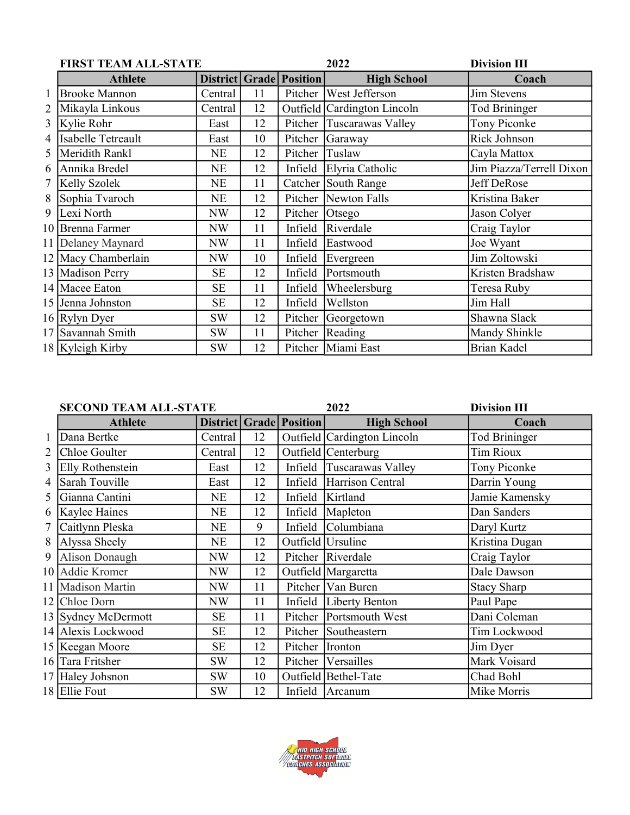|   | <b>FIRST TEAM ALL-STATE</b> |           |    |                                | 2022                        | <b>Division III</b>      |  |
|---|-----------------------------|-----------|----|--------------------------------|-----------------------------|--------------------------|--|
|   | <b>Athlete</b>              |           |    | <b>District Grade Position</b> | <b>High School</b>          | Coach                    |  |
|   | <b>Brooke Mannon</b>        | Central   | 11 |                                | Pitcher West Jefferson      | Jim Stevens              |  |
|   | Mikayla Linkous             | Central   | 12 |                                | Outfield Cardington Lincoln | <b>Tod Brininger</b>     |  |
| 3 | Kylie Rohr                  | East      | 12 |                                | Pitcher Tuscarawas Valley   | Tony Piconke             |  |
| 4 | Isabelle Tetreault          | East      | 10 |                                | Pitcher Garaway             | Rick Johnson             |  |
| 5 | Meridith Rankl              | NE        | 12 | Pitcher                        | Tuslaw                      | Cayla Mattox             |  |
| 6 | Annika Bredel               | NE        | 12 |                                | Infield Elyria Catholic     | Jim Piazza/Terrell Dixon |  |
| 7 | <b>Kelly Szolek</b>         | NE        | 11 |                                | Catcher South Range         | Jeff DeRose              |  |
| 8 | Sophia Tvaroch              | NE        | 12 |                                | Pitcher   Newton Falls      | Kristina Baker           |  |
| 9 | Lexi North                  | NW        | 12 | Pitcher Otsego                 |                             | Jason Colyer             |  |
|   | 10 Brenna Farmer            | NW        | 11 | Infield                        | Riverdale                   | Craig Taylor             |  |
|   | 11 Delaney Maynard          | NW        | 11 | Infield                        | Eastwood                    | Joe Wyant                |  |
|   | 12 Macy Chamberlain         | NW        | 10 | Infield                        | Evergreen                   | Jim Zoltowski            |  |
|   | 13 Madison Perry            | <b>SE</b> | 12 | Infield                        | Portsmouth                  | Kristen Bradshaw         |  |
|   | 14 Macee Eaton              | <b>SE</b> | 11 | Infield                        | Wheelersburg                | Teresa Ruby              |  |
|   | 15 Jenna Johnston           | <b>SE</b> | 12 | Infield                        | Wellston                    | Jim Hall                 |  |
|   | 16 Rylyn Dyer               | <b>SW</b> | 12 |                                | Pitcher Georgetown          | Shawna Slack             |  |
|   | 17 Savannah Smith           | <b>SW</b> | 11 |                                | Pitcher Reading             | Mandy Shinkle            |  |
|   | 18 Kyleigh Kirby            | <b>SW</b> | 12 |                                | Pitcher   Miami East        | <b>Brian Kadel</b>       |  |

|   | <b>SECOND TEAM ALL-STATE</b> |           |    |                         | 2022                        | <b>Division III</b>  |
|---|------------------------------|-----------|----|-------------------------|-----------------------------|----------------------|
|   | <b>Athlete</b>               |           |    | District Grade Position | <b>High School</b>          | Coach                |
|   | Dana Bertke                  | Central   | 12 |                         | Outfield Cardington Lincoln | <b>Tod Brininger</b> |
| 2 | Chloe Goulter                | Central   | 12 |                         | Outfield Centerburg         | <b>Tim Rioux</b>     |
| 3 | Elly Rothenstein             | East      | 12 |                         | Infield Tuscarawas Valley   | Tony Piconke         |
| 4 | Sarah Touville               | East      | 12 |                         | Infield Harrison Central    | Darrin Young         |
| 5 | Gianna Cantini               | NE        | 12 | Infield                 | Kirtland                    | Jamie Kamensky       |
| 6 | Kaylee Haines                | NE        | 12 | Infield                 | Mapleton                    | Dan Sanders          |
| 7 | Caitlynn Pleska              | NE        | 9  |                         | Infield Columbiana          | Daryl Kurtz          |
| 8 | Alyssa Sheely                | <b>NE</b> | 12 |                         | Outfield Ursuline           | Kristina Dugan       |
| 9 | Alison Donaugh               | NW        | 12 |                         | Pitcher Riverdale           | Craig Taylor         |
|   | 10 Addie Kromer              | NW        | 12 |                         | Outfield Margaretta         | Dale Dawson          |
|   | 11 Madison Martin            | NW        | 11 |                         | Pitcher Van Buren           | <b>Stacy Sharp</b>   |
|   | 12 Chloe Dorn                | NW        | 11 |                         | Infield   Liberty Benton    | Paul Pape            |
|   | 13 Sydney McDermott          | <b>SE</b> | 11 |                         | Pitcher Portsmouth West     | Dani Coleman         |
|   | 14 Alexis Lockwood           | <b>SE</b> | 12 |                         | Pitcher Southeastern        | Tim Lockwood         |
|   | 15   Keegan Moore            | <b>SE</b> | 12 | Pitcher Ironton         |                             | Jim Dyer             |
|   | 16 Tara Fritsher             | <b>SW</b> | 12 |                         | Pitcher   Versailles        | Mark Voisard         |
|   | 17 Haley Johsnon             | <b>SW</b> | 10 |                         | Outfield Bethel-Tate        | Chad Bohl            |
|   | 18 Ellie Fout                | <b>SW</b> | 12 |                         | Infield Arcanum             | Mike Morris          |

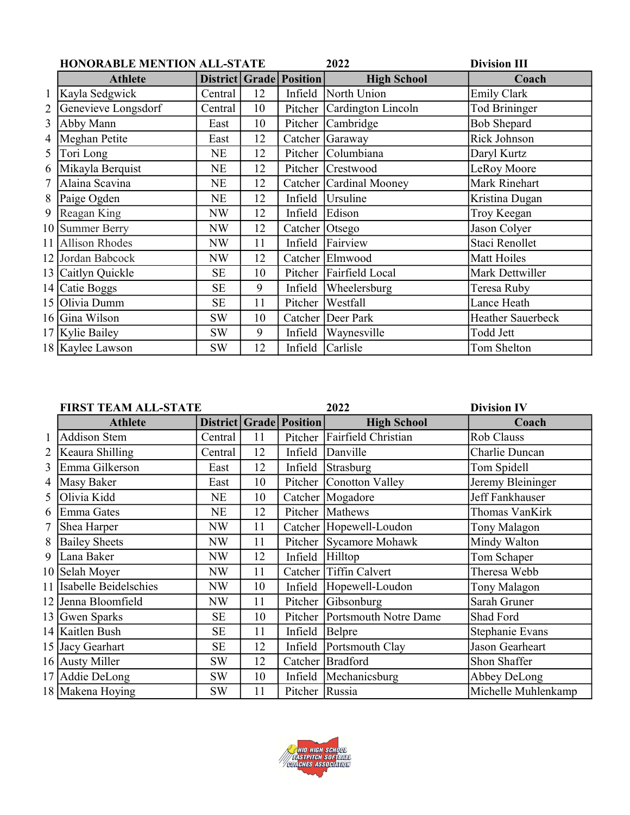|   | <b>HONORABLE MENTION ALL-STATE</b> |           |    |                                | 2022                       | <b>Division III</b>      |
|---|------------------------------------|-----------|----|--------------------------------|----------------------------|--------------------------|
|   | <b>Athlete</b>                     |           |    | <b>District Grade Position</b> | <b>High School</b>         | Coach                    |
|   | Kayla Sedgwick                     | Central   | 12 | Infield                        | North Union                | <b>Emily Clark</b>       |
| 2 | Genevieve Longsdorf                | Central   | 10 |                                | Pitcher Cardington Lincoln | <b>Tod Brininger</b>     |
| 3 | Abby Mann                          | East      | 10 |                                | Pitcher Cambridge          | <b>Bob Shepard</b>       |
| 4 | Meghan Petite                      | East      | 12 |                                | Catcher Garaway            | Rick Johnson             |
| 5 | Tori Long                          | NE        | 12 |                                | Pitcher Columbiana         | Daryl Kurtz              |
| 6 | Mikayla Berquist                   | <b>NE</b> | 12 |                                | Pitcher   Crestwood        | LeRoy Moore              |
| 7 | Alaina Scavina                     | <b>NE</b> | 12 |                                | Catcher Cardinal Mooney    | Mark Rinehart            |
| 8 | Paige Ogden                        | NE        | 12 | Infield                        | <b>Ursuline</b>            | Kristina Dugan           |
| 9 | Reagan King                        | NW        | 12 | Infield                        | Edison                     | Troy Keegan              |
|   | 10 Summer Berry                    | NW        | 12 | Catcher Otsego                 |                            | Jason Colyer             |
|   | 11 Allison Rhodes                  | NW        | 11 | Infield                        | Fairview                   | Staci Renollet           |
|   | 12 Jordan Babcock                  | NW        | 12 |                                | Catcher Elmwood            | Matt Hoiles              |
|   | 13 Caitlyn Quickle                 | <b>SE</b> | 10 | Pitcher                        | Fairfield Local            | Mark Dettwiller          |
|   | 14 Catie Boggs                     | <b>SE</b> | 9  | Infield                        | Wheelersburg               | Teresa Ruby              |
|   | 15 Olivia Dumm                     | <b>SE</b> | 11 | Pitcher                        | Westfall                   | Lance Heath              |
|   | 16 Gina Wilson                     | <b>SW</b> | 10 | Catcher                        | Deer Park                  | <b>Heather Sauerbeck</b> |
|   | 17 Kylie Bailey                    | <b>SW</b> | 9  | Infield                        | Waynesville                | Todd Jett                |
|   | 18 Kaylee Lawson                   | <b>SW</b> | 12 | Infield                        | Carlisle                   | Tom Shelton              |

|   | <b>FIRST TEAM ALL-STATE</b> |           |    |                         | 2022                          | <b>Division IV</b>  |  |
|---|-----------------------------|-----------|----|-------------------------|-------------------------------|---------------------|--|
|   | <b>Athlete</b>              |           |    | District Grade Position | <b>High School</b>            | Coach               |  |
|   | <b>Addison Stem</b>         | Central   | 11 |                         | Pitcher Fairfield Christian   | Rob Clauss          |  |
|   | Keaura Shilling             | Central   | 12 | Infield                 | Danville                      | Charlie Duncan      |  |
| 3 | Emma Gilkerson              | East      | 12 | Infield                 | Strasburg                     | Tom Spidell         |  |
| 4 | Masy Baker                  | East      | 10 |                         | Pitcher Conotton Valley       | Jeremy Bleininger   |  |
| 5 | Olivia Kidd                 | NE        | 10 |                         | Catcher Mogadore              | Jeff Fankhauser     |  |
| 6 | Emma Gates                  | NE        | 12 |                         | Pitcher Mathews               | Thomas VanKirk      |  |
|   | Shea Harper                 | NW        | 11 |                         | Catcher Hopewell-Loudon       | Tony Malagon        |  |
| 8 | <b>Bailey Sheets</b>        | NW        | 11 |                         | Pitcher Sycamore Mohawk       | Mindy Walton        |  |
| 9 | Lana Baker                  | NW        | 12 | Infield                 | Hilltop                       | Tom Schaper         |  |
|   | 10 Selah Moyer              | NW        | 11 | Catcher                 | Tiffin Calvert                | Theresa Webb        |  |
|   | 11 Isabelle Beidelschies    | NW        | 10 | Infield                 | Hopewell-Loudon               | Tony Malagon        |  |
|   | 12 Jenna Bloomfield         | NW        | 11 |                         | Pitcher Gibsonburg            | Sarah Gruner        |  |
|   | 13 Gwen Sparks              | SE        | 10 |                         | Pitcher Portsmouth Notre Dame | Shad Ford           |  |
|   | 14 Kaitlen Bush             | <b>SE</b> | 11 | Infield                 | Belpre                        | Stephanie Evans     |  |
|   | 15 Jacy Gearhart            | SE        | 12 | Infield                 | Portsmouth Clay               | Jason Gearheart     |  |
|   | 16 Austy Miller             | <b>SW</b> | 12 |                         | Catcher Bradford              | Shon Shaffer        |  |
|   | 17 Addie DeLong             | <b>SW</b> | 10 | Infield                 | Mechanicsburg                 | Abbey DeLong        |  |
|   | 18 Makena Hoying            | <b>SW</b> | 11 | Pitcher Russia          |                               | Michelle Muhlenkamp |  |